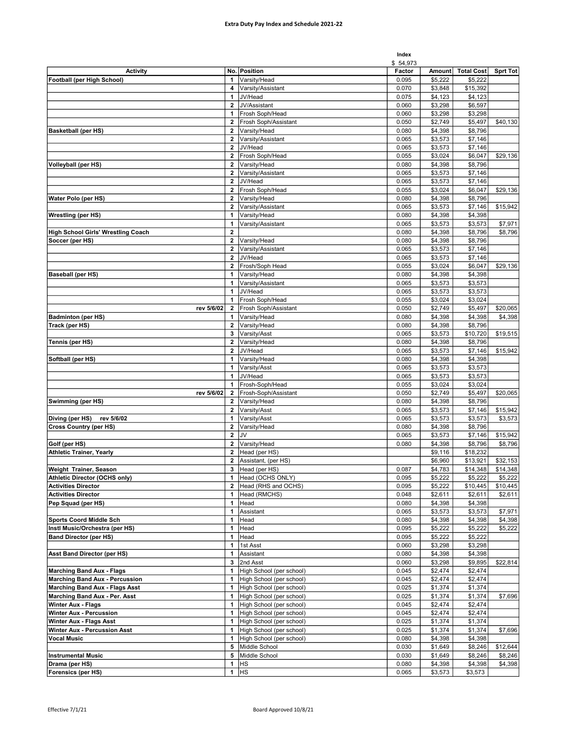|                                           |                             |                              | Index          |                    |                     |                     |
|-------------------------------------------|-----------------------------|------------------------------|----------------|--------------------|---------------------|---------------------|
|                                           |                             |                              | \$54,973       |                    |                     |                     |
| <b>Activity</b>                           |                             | No. Position                 | Factor         | Amount             | <b>Total Cost</b>   | Sprt Tot            |
| Football (per High School)                | 1<br>4                      | Varsity/Head                 | 0.095          | \$5,222            | \$5,222             |                     |
|                                           | $\mathbf{1}$                | Varsity/Assistant<br>JV/Head | 0.070<br>0.075 | \$3,848<br>\$4,123 | \$15,392<br>\$4,123 |                     |
|                                           | $\overline{2}$              | JV/Assistant                 | 0.060          | \$3,298            | \$6,597             |                     |
|                                           | 1                           | Frosh Soph/Head              | 0.060          | \$3,298            | \$3,298             |                     |
|                                           | $\overline{2}$              | Frosh Soph/Assistant         | 0.050          | \$2,749            | \$5,497             | \$40,130            |
| <b>Basketball (per HS)</b>                | $\overline{\mathbf{2}}$     | Varsity/Head                 | 0.080          | \$4,398            | \$8,796             |                     |
|                                           | $\mathbf{2}$                | Varsity/Assistant            | 0.065          | \$3,573            | \$7,146             |                     |
|                                           | $\mathbf{2}$                | JV/Head                      | 0.065          | \$3,573            | \$7.146             |                     |
|                                           | $\mathbf{2}$                | Frosh Soph/Head              | 0.055          | \$3,024            | \$6,047             | \$29,136            |
| <b>Volleyball (per HS)</b>                | $\mathbf{2}$                | Varsity/Head                 | 0.080          | \$4,398            | \$8,796             |                     |
|                                           | $\overline{2}$              | Varsity/Assistant            | 0.065          | \$3,573            | \$7,146             |                     |
|                                           | $\mathbf{2}$                | JV/Head                      | 0.065          | \$3,573            | \$7,146             |                     |
|                                           | $\overline{2}$              | Frosh Soph/Head              | 0.055          | \$3,024            | \$6,047             | \$29,136            |
| Water Polo (per HS)                       | $\mathbf{2}$                | Varsity/Head                 | 0.080          | \$4,398            | \$8,796             |                     |
|                                           | $\overline{2}$              | Varsity/Assistant            | 0.065          | \$3,573            | \$7,146             | \$15,942            |
| <b>Wrestling (per HS)</b>                 | 1                           | Varsity/Head                 | 0.080          | \$4,398            | \$4,398             |                     |
|                                           | 1                           | Varsity/Assistant            | 0.065          | \$3,573            | \$3,573             | \$7,971             |
| <b>High School Girls' Wrestling Coach</b> | $\overline{2}$              |                              | 0.080          | \$4,398            | \$8,796             | \$8,796             |
| Soccer (per HS)                           | $\mathbf{2}$<br>$\mathbf 2$ | Varsity/Head                 | 0.080          | \$4,398            | \$8,796             |                     |
|                                           | $\overline{2}$              | Varsity/Assistant<br>JV/Head | 0.065          | \$3,573            | \$7,146<br>\$7,146  |                     |
|                                           | 2                           | Frosh/Soph Head              | 0.065<br>0.055 | \$3,573<br>\$3,024 | \$6,047             | \$29,136            |
| <b>Baseball (per HS)</b>                  | 1                           | Varsity/Head                 | 0.080          | \$4,398            | \$4,398             |                     |
|                                           | 1                           | Varsity/Assistant            | 0.065          | \$3,573            | \$3,573             |                     |
|                                           | $\mathbf{1}$                | JV/Head                      | 0.065          | \$3,573            | \$3,573             |                     |
|                                           | 1                           | Frosh Soph/Head              | 0.055          | \$3,024            | \$3,024             |                     |
| rev 5/6/02                                | 2                           | Frosh Soph/Assistant         | 0.050          | \$2,749            | \$5,497             | \$20,065            |
| <b>Badminton (per HS)</b>                 | 1                           | Varsity/Head                 | 0.080          | \$4,398            | \$4,398             | \$4,398             |
| Track (per HS)                            | $\mathbf{2}$                | Varsity/Head                 | 0.080          | \$4,398            | \$8,796             |                     |
|                                           | 3                           | Varsity/Asst                 | 0.065          | \$3,573            | \$10,720            | \$19,515            |
| Tennis (per HS)                           | $\overline{\mathbf{2}}$     | Varsity/Head                 | 0.080          | \$4,398            | \$8,796             |                     |
|                                           | $\mathbf{2}$                | JV/Head                      | 0.065          | \$3,573            | \$7,146             | \$15,942            |
| Softball (per HS)                         | 1                           | Varsity/Head                 | 0.080          | \$4,398            | \$4,398             |                     |
|                                           | 1                           | Varsity/Asst                 | 0.065          | \$3,573            | \$3,573             |                     |
|                                           | 1                           | JV/Head                      | 0.065          | \$3,573            | \$3,573             |                     |
|                                           | 1                           | Frosh-Soph/Head              | 0.055          | \$3,024            | \$3,024             |                     |
| rev 5/6/02                                | $\mathbf{2}$                | Frosh-Soph/Assistant         | 0.050          | \$2,749            | \$5,497             | \$20,065            |
| Swimming (per HS)                         | 2<br>$\mathbf{2}$           | Varsity/Head<br>Varsity/Asst | 0.080<br>0.065 | \$4,398<br>\$3,573 | \$8,796<br>\$7,146  |                     |
| Diving (per HS)<br>rev 5/6/02             | 1                           | Varsity/Asst                 | 0.065          | \$3,573            | \$3,573             | \$15,942<br>\$3,573 |
| <b>Cross Country (per HS)</b>             | $\mathbf{2}$                | Varsity/Head                 | 0.080          | \$4,398            | \$8,796             |                     |
|                                           | $\overline{2}$              | JV                           | 0.065          | \$3,573            | \$7,146             | \$15,942            |
| Golf (per HS)                             | $\overline{2}$              | Varsity/Head                 | 0.080          | \$4,398            | \$8,796             | \$8,796             |
| <b>Athletic Trainer, Yearly</b>           | $\overline{2}$              | Head (per HS)                |                | \$9,116            | \$18,232            |                     |
|                                           | $\mathbf{2}$                | Assistant, (per HS)          |                | \$6,960            | \$13,921            | \$32,153            |
| Weight Trainer, Season                    | 3                           | Head (per HS)                | 0.087          | \$4,783            | \$14,348            | \$14,348            |
| Athletic Director (OCHS only)             | 1                           | Head (OCHS ONLY)             | 0.095          | \$5,222            | \$5,222             | \$5,222             |
| <b>Activities Director</b>                | 2                           | Head (RHS and OCHS)          | 0.095          | \$5,222            | \$10,445            | \$10,445            |
| <b>Activities Director</b>                | 1                           | Head (RMCHS)                 | 0.048          | \$2,611            | \$2,611             | \$2,611             |
| Pep Squad (per HS)                        | 1                           | Head                         | 0.080          | \$4,398            | \$4,398             |                     |
|                                           | 1                           | Assistant                    | 0.065          | \$3,573            | \$3,573             | \$7,971             |
| <b>Sports Coord Middle Sch</b>            | 1                           | Head                         | 0.080          | \$4,398            | \$4,398             | \$4,398             |
| Instl Music/Orchestra (per HS)            | 1                           | Head                         | 0.095          | \$5,222            | \$5,222             | \$5,222             |
| <b>Band Director (per HS)</b>             | 1                           | Head                         | 0.095          | \$5,222            | \$5,222             |                     |
|                                           | 1<br>1                      | 1st Asst                     | 0.060          | \$3,298            | \$3,298             |                     |
| <b>Asst Band Director (per HS)</b>        | 3                           | Assistant<br>2nd Asst        | 0.080<br>0.060 | \$4,398<br>\$3,298 | \$4,398<br>\$9,895  | \$22,814            |
| <b>Marching Band Aux - Flags</b>          | 1                           | High School (per school)     | 0.045          | \$2,474            | \$2,474             |                     |
| <b>Marching Band Aux - Percussion</b>     | 1                           | High School (per school)     | 0.045          | \$2,474            | \$2,474             |                     |
| <b>Marching Band Aux - Flags Asst</b>     | 1                           | High School (per school)     | 0.025          | \$1,374            | \$1,374             |                     |
| Marching Band Aux - Per. Asst             | $\mathbf{1}$                | High School (per school)     | 0.025          | \$1,374            | \$1,374             | \$7,696             |
| <b>Winter Aux - Flags</b>                 | 1                           | High School (per school)     | 0.045          | \$2,474            | \$2,474             |                     |
| <b>Winter Aux - Percussion</b>            | 1                           | High School (per school)     | 0.045          | \$2,474            | \$2,474             |                     |
| <b>Winter Aux - Flags Asst</b>            | 1                           | High School (per school)     | 0.025          | \$1,374            | \$1,374             |                     |
| Winter Aux - Percussion Asst              | 1                           | High School (per school)     | 0.025          | \$1,374            | \$1,374             | \$7,696             |
| <b>Vocal Music</b>                        | 1                           | High School (per school)     | 0.080          | \$4,398            | \$4,398             |                     |
|                                           | 5                           | Middle School                | 0.030          | \$1,649            | \$8,246             | \$12,644            |
| <b>Instrumental Music</b>                 | 5                           | Middle School                | 0.030          | \$1,649            | \$8,246             | \$8,246             |
| Drama (per HS)                            | $\mathbf{1}$                | <b>HS</b>                    | 0.080          | \$4,398            | \$4,398             | \$4,398             |
| <b>Forensics (per HS)</b>                 |                             | 1 $HS$                       | 0.065          | \$3,573            | \$3,573             |                     |